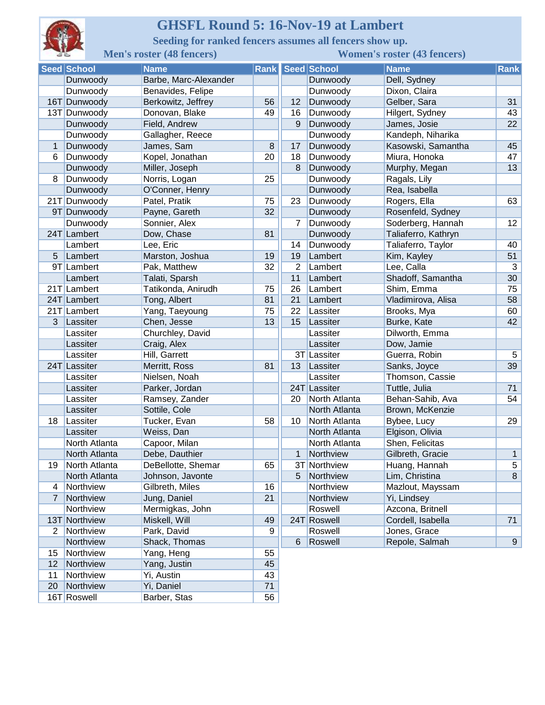

## **GHSFL Round 5: 16-Nov-19 at Lambert**

**Seeding for ranked fencers assumes all fencers show up.**

| 라너<br><b>Men's roster (48 fencers)</b> |               |                       | <b>Women's roster (43 fencers)</b> |                |               |                     |                 |
|----------------------------------------|---------------|-----------------------|------------------------------------|----------------|---------------|---------------------|-----------------|
|                                        | Seed School   | <b>Name</b>           | <b>Rank</b>                        |                | Seed School   | <b>Name</b>         | <b>Rank</b>     |
|                                        | Dunwoody      | Barbe, Marc-Alexander |                                    |                | Dunwoody      | Dell, Sydney        |                 |
|                                        | Dunwoody      | Benavides, Felipe     |                                    |                | Dunwoody      | Dixon, Claira       |                 |
|                                        | 16T Dunwoody  | Berkowitz, Jeffrey    | 56                                 | 12             | Dunwoody      | Gelber, Sara        | 31              |
|                                        | 13T Dunwoody  | Donovan, Blake        | 49                                 | 16             | Dunwoody      | Hilgert, Sydney     | 43              |
|                                        | Dunwoody      | Field, Andrew         |                                    | 9              | Dunwoody      | James, Josie        | 22              |
|                                        | Dunwoody      | Gallagher, Reece      |                                    |                | Dunwoody      | Kandeph, Niharika   |                 |
| $\mathbf 1$                            | Dunwoody      | James, Sam            | 8                                  | 17             | Dunwoody      | Kasowski, Samantha  | 45              |
| 6                                      | Dunwoody      | Kopel, Jonathan       | 20                                 | 18             | Dunwoody      | Miura, Honoka       | 47              |
|                                        | Dunwoody      | Miller, Joseph        |                                    | 8              | Dunwoody      | Murphy, Megan       | 13              |
| 8                                      | Dunwoody      | Norris, Logan         | 25                                 |                | Dunwoody      | Ragals, Lily        |                 |
|                                        | Dunwoody      | O'Conner, Henry       |                                    |                | Dunwoody      | Rea, Isabella       |                 |
| 21T                                    | Dunwoody      | Patel, Pratik         | 75                                 | 23             | Dunwoody      | Rogers, Ella        | 63              |
|                                        | 9T Dunwoody   | Payne, Gareth         | 32                                 |                | Dunwoody      | Rosenfeld, Sydney   |                 |
|                                        | Dunwoody      | Sonnier, Alex         |                                    | $\overline{7}$ | Dunwoody      | Soderberg, Hannah   | 12              |
|                                        | 24T Lambert   | Dow, Chase            | 81                                 |                | Dunwoody      | Taliaferro, Kathryn |                 |
|                                        | Lambert       | Lee, Eric             |                                    | 14             | Dunwoody      | Taliaferro, Taylor  | 40              |
| 5                                      | Lambert       | Marston, Joshua       | 19                                 | 19             | Lambert       | Kim, Kayley         | 51              |
|                                        | 9T Lambert    | Pak, Matthew          | 32                                 | $\overline{2}$ | Lambert       | Lee, Calla          | 3               |
|                                        | Lambert       | Talati, Sparsh        |                                    | 11             | Lambert       | Shadoff, Samantha   | 30              |
|                                        | 21T Lambert   | Tatikonda, Anirudh    | 75                                 | 26             | Lambert       | Shim, Emma          | 75              |
|                                        | 24T Lambert   | Tong, Albert          | 81                                 | 21             | Lambert       | Vladimirova, Alisa  | 58              |
|                                        | 21T Lambert   | Yang, Taeyoung        | 75                                 | 22             | Lassiter      | Brooks, Mya         | 60              |
| 3                                      | Lassiter      | Chen, Jesse           | 13                                 | 15             | Lassiter      | Burke, Kate         | 42              |
|                                        | Lassiter      | Churchley, David      |                                    |                | Lassiter      | Dilworth, Emma      |                 |
|                                        | Lassiter      | Craig, Alex           |                                    |                | Lassiter      | Dow, Jamie          |                 |
|                                        | Lassiter      | Hill, Garrett         |                                    |                | 3T Lassiter   | Guerra, Robin       | $5\phantom{.0}$ |
|                                        | 24T Lassiter  | Merritt, Ross         | 81                                 | 13             | Lassiter      | Sanks, Joyce        | 39              |
|                                        | Lassiter      | Nielsen, Noah         |                                    |                | Lassiter      | Thomson, Cassie     |                 |
|                                        | Lassiter      | Parker, Jordan        |                                    |                | 24T Lassiter  | Tuttle, Julia       | 71              |
|                                        | Lassiter      | Ramsey, Zander        |                                    | 20             | North Atlanta | Behan-Sahib, Ava    | 54              |
|                                        | Lassiter      | Sottile, Cole         |                                    |                | North Atlanta | Brown, McKenzie     |                 |
| 18                                     | Lassiter      | Tucker, Evan          | 58                                 | 10             | North Atlanta | Bybee, Lucy         | 29              |
|                                        | Lassiter      | Weiss, Dan            |                                    |                | North Atlanta | Elgison, Olivia     |                 |
|                                        | North Atlanta | Capoor, Milan         |                                    |                | North Atlanta | Shen, Felicitas     |                 |
|                                        | North Atlanta | Debe, Dauthier        |                                    | 1              | Northview     | Gilbreth, Gracie    | 1               |
| 19                                     | North Atlanta | DeBellotte, Shemar    | 65                                 |                | 3T Northview  | Huang, Hannah       | 5               |
|                                        | North Atlanta | Johnson, Javonte      |                                    | 5              | Northview     | Lim, Christina      | 8               |
| 4                                      | Northview     | Gilbreth, Miles       | 16                                 |                | Northview     | Mazlout, Mayssam    |                 |
| $\overline{7}$                         | Northview     | Jung, Daniel          | 21                                 |                | Northview     | Yi, Lindsey         |                 |
|                                        | Northview     | Mermigkas, John       |                                    |                | Roswell       | Azcona, Britnell    |                 |
| 13T                                    | Northview     | Miskell, Will         | 49                                 |                | 24T Roswell   | Cordell, Isabella   | 71              |
| 2                                      | Northview     | Park, David           | 9                                  |                | Roswell       | Jones, Grace        |                 |
|                                        | Northview     | Shack, Thomas         |                                    | 6              | Roswell       | Repole, Salmah      | 9               |
| 15                                     | Northview     | Yang, Heng            | 55                                 |                |               |                     |                 |
| 12                                     | Northview     | Yang, Justin          | 45                                 |                |               |                     |                 |
| 11                                     | Northview     | Yi, Austin            | 43                                 |                |               |                     |                 |
| 20                                     | Northview     | Yi, Daniel            | 71                                 |                |               |                     |                 |
|                                        | 16T Roswell   | Barber, Stas          | 56                                 |                |               |                     |                 |